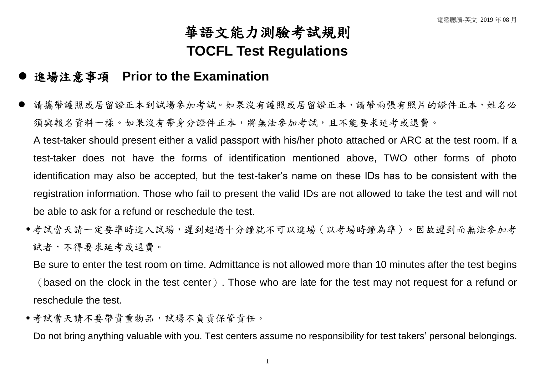## 華語文能力測驗考試規則 **TOCFL Test Regulations**

## 進場注意事項 **Prior to the Examination**

 請攜帶護照或居留證正本到試場參加考試。如果沒有護照或居留證正本,請帶兩張有照片的證件正本,姓名必 須與報名資料一樣。如果沒有帶身分證件正本,將無法參加考試,且不能要求延考或退費。

A test-taker should present either a valid passport with his/her photo attached or ARC at the test room. If a test-taker does not have the forms of identification mentioned above, TWO other forms of photo identification may also be accepted, but the test-taker's name on these IDs has to be consistent with the registration information. Those who fail to present the valid IDs are not allowed to take the test and will not be able to ask for a refund or reschedule the test.

◆考試當天請一定要準時進入試場,遲到超過十分鐘就不可以進場(以考場時鐘為準)。因故遲到而無法參加考 試者,不得要求延考或退費。

Be sure to enter the test room on time. Admittance is not allowed more than 10 minutes after the test begins (based on the clock in the test center). Those who are late for the test may not request for a refund or reschedule the test.

◆考試當天請不要帶貴重物品,試場不負責保管責任。

Do not bring anything valuable with you. Test centers assume no responsibility for test takers' personal belongings.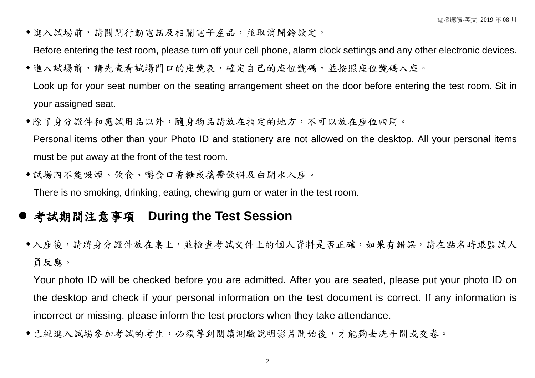進入試場前,請關閉行動電話及相關電子產品,並取消鬧鈴設定。

Before entering the test room, please turn off your cell phone, alarm clock settings and any other electronic devices.

- ◆進入試場前,請先查看試場門口的座號表,確定自己的座位號碼,並按照座位號碼入座。 Look up for your seat number on the seating arrangement sheet on the door before entering the test room. Sit in your assigned seat.
- 除了身分證件和應試用品以外,隨身物品請放在指定的地方,不可以放在座位四周。 Personal items other than your Photo ID and stationery are not allowed on the desktop. All your personal items must be put away at the front of the test room.
- 試場內不能吸煙、飲食、嚼食口香糖或攜帶飲料及白開水入座。 There is no smoking, drinking, eating, chewing gum or water in the test room.

## **●考試期間注意事項 During the Test Session**

◆入座後,請將身分證件放在桌上,並檢查考試文件上的個人資料是否正確,如果有錯誤,請在點名時跟監試人 員反應。

Your photo ID will be checked before you are admitted. After you are seated, please put your photo ID on the desktop and check if your personal information on the test document is correct. If any information is incorrect or missing, please inform the test proctors when they take attendance.

◆已經進入試場參加考試的考生,必須等到閱讀測驗說明影片開始後,才能夠去洗手間或交卷。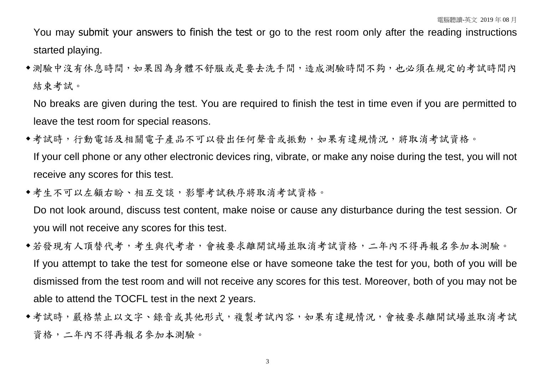You may submit your answers to finish the test or go to the rest room only after the reading instructions started playing.

◆測驗中沒有休息時間,如果因為身體不舒服或是要去洗手間,造成測驗時間不夠,也必須在規定的考試時間內 結束考試。

No breaks are given during the test. You are required to finish the test in time even if you are permitted to leave the test room for special reasons.

- 考試時,行動電話及相關電子產品不可以發出任何聲音或振動,如果有違規情況,將取消考試資格。 If your cell phone or any other electronic devices ring, vibrate, or make any noise during the test, you will not receive any scores for this test.
- 考生不可以左顧右盼、相互交談,影響考試秩序將取消考試資格。

Do not look around, discuss test content, make noise or cause any disturbance during the test session. Or you will not receive any scores for this test.

- 若發現有人頂替代考,考生與代考者,會被要求離開試場並取消考試資格,二年內不得再報名參加本測驗。 If you attempt to take the test for someone else or have someone take the test for you, both of you will be dismissed from the test room and will not receive any scores for this test. Moreover, both of you may not be able to attend the TOCFL test in the next 2 years.
- 考試時,嚴格禁止以文字、錄音或其他形式,複製考試內容,如果有違規情況,會被要求離開試場並取消考試 資格,二年內不得再報名參加本測驗。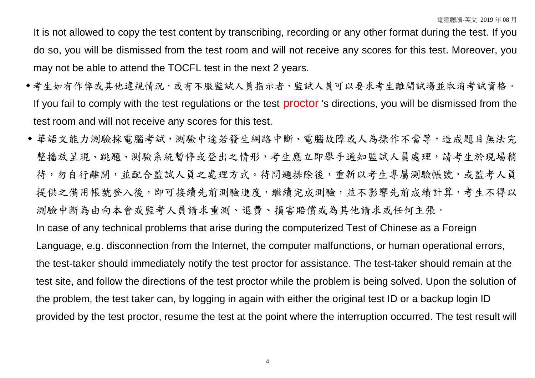It is not allowed to copy the test content by transcribing, recording or any other format during the test. If you do so, you will be dismissed from the test room and will not receive any scores for this test. Moreover, you may not be able to attend the TOCFL test in the next 2 years.

- 考生如有作弊或其他違規情況,或有不服監試人員指示者,監試人員可以要求考生離開試場並取消考試資格。 If you fail to comply with the test regulations or the test **proctor** 's directions, you will be dismissed from the test room and will not receive any scores for this test.
- 華語文能力測驗採電腦考試,測驗中途若發生網路中斷、電腦故障或人為操作不當等,造成題目無法完 整播放呈現、跳題、測驗系統暫停或登出之情形,考生應立即舉手通知監試人員處理,請考生於現場稍 待,勿自行離開,並配合監試人員之處理方式。待問題排除後,重新以考生專屬測驗帳號,或監考人員 提供之備用帳號登入後,即可接續先前測驗進度,繼續完成測驗,並不影響先前成績計算,考生不得以 測驗中斷為由向本會或監考人員請求重測、退費、損害賠償或為其他請求或任何主張。 In case of any technical problems that arise during the computerized Test of Chinese as a Foreign Language, e.g. disconnection from the Internet, the computer malfunctions, or human operational errors,

the test-taker should immediately notify the test proctor for assistance. The test-taker should remain at the test site, and follow the directions of the test proctor while the problem is being solved. Upon the solution of the problem, the test taker can, by logging in again with either the original test ID or a backup login ID provided by the test proctor, resume the test at the point where the interruption occurred. The test result will

4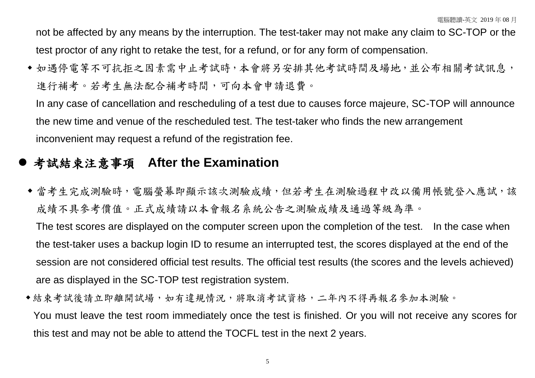not be affected by any means by the interruption. The test-taker may not make any claim to SC-TOP or the test proctor of any right to retake the test, for a refund, or for any form of compensation.

◆ 如遇停電等不可抗拒之因素需中止考試時,本會將另安排其他考試時間及場地,並公布相關考試訊息, 進行補考。若考生無法配合補考時間,可向本會申請退費。

In any case of cancellation and rescheduling of a test due to causes force majeure, SC-TOP will announce the new time and venue of the rescheduled test. The test-taker who finds the new arrangement inconvenient may request a refund of the registration fee.

## 考試結束注意事項 **After the Examination**

◆ 當考生完成測驗時, 電腦螢幕即顯示該次測驗成績, 但若考生在測驗過程中改以備用帳號登入應試, 該 成績不具參考價值。正式成績請以本會報名系統公告之測驗成績及通過等級為準。

The test scores are displayed on the computer screen upon the completion of the test. In the case when the test-taker uses a backup login ID to resume an interrupted test, the scores displayed at the end of the session are not considered official test results. The official test results (the scores and the levels achieved) are as displayed in the SC-TOP test registration system.

結束考試後請立即離開試場,如有違規情況,將取消考試資格,二年內不得再報名參加本測驗。 You must leave the test room immediately once the test is finished. Or you will not receive any scores for this test and may not be able to attend the TOCFL test in the next 2 years.